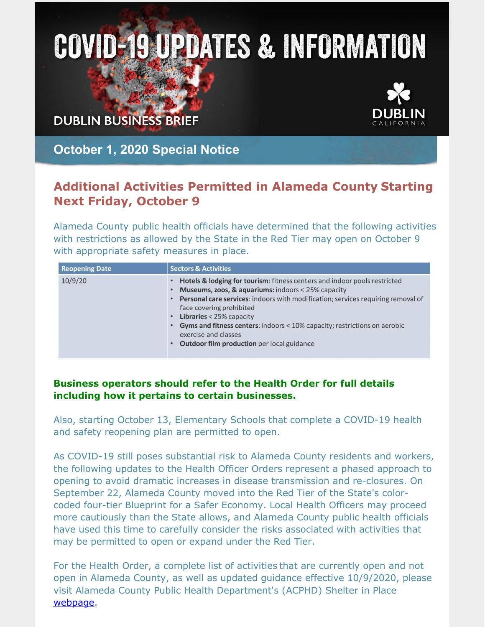## **COVID-19 UPDATES & INFORMATION**

**DUBLIN BUSINESS BRIEF** 



**October 1, 2020 Special Notice**

## **Additional Activities Permitted in Alameda County Starting Next Friday, October 9**

Alameda County public health officials have determined that the following activities with restrictions as allowed by the State in the Red Tier may open on October 9 with appropriate safety measures in place.

| <b>Reopening Date</b> | <b>Sectors &amp; Activities</b>                                                                                                                                                                                                                                                                                                                                                                                                                |
|-----------------------|------------------------------------------------------------------------------------------------------------------------------------------------------------------------------------------------------------------------------------------------------------------------------------------------------------------------------------------------------------------------------------------------------------------------------------------------|
| 10/9/20               | <b>Hotels &amp; lodging for tourism:</b> fitness centers and indoor pools restricted<br>Museums, zoos, & aquariums: indoors < 25% capacity<br>Personal care services: indoors with modification; services requiring removal of<br>face covering prohibited<br>Libraries < 25% capacity<br>Gyms and fitness centers: indoors < 10% capacity; restrictions on aerobic<br>exercise and classes<br>Outdoor film production per local guidance<br>٠ |

## **Business operators should refer to the Health Order for full details including how it pertains to certain businesses.**

Also, starting October 13, Elementary Schools that complete a COVID-19 health and safety reopening plan are permitted to open.

As COVID-19 still poses substantial risk to Alameda County residents and workers, the following updates to the Health Officer Orders represent a phased approach to opening to avoid dramatic increases in disease transmission and re-closures. On September 22, Alameda County moved into the Red Tier of the State's colorcoded four-tier Blueprint for a Safer Economy. Local Health Officers may proceed more cautiously than the State allows, and Alameda County public health officials have used this time to carefully consider the risks associated with activities that may be permitted to open or expand under the Red Tier.

For the Health Order, a complete list of activities that are currently open and not open in Alameda County, as well as updated guidance effective 10/9/2020, please visit Alameda County Public Health Department's (ACPHD) Shelter in Place [webpage](https://covid-19.acgov.org/sip.page?).